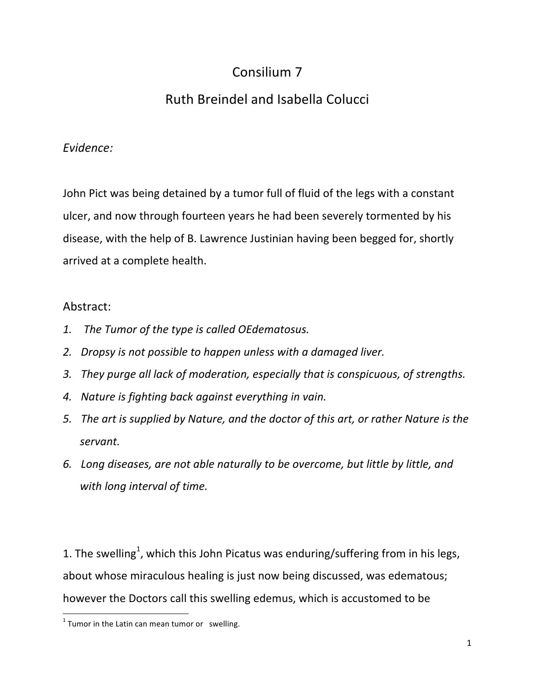## Consilium 7

## Ruth Breindel and Isabella Colucci

## *Evidence:*

John Pict was being detained by a tumor full of fluid of the legs with a constant ulcer, and now through fourteen years he had been severely tormented by his disease, with the help of B. Lawrence Justinian having been begged for, shortly arrived at a complete health.

## Abstract:

- 1. The Tumor of the type is called OEdematosus.
- 2. Dropsy is not possible to happen unless with a damaged liver.
- 3. *They purge all lack of moderation, especially that is conspicuous, of strengths.*
- 4. Nature is fighting back against everything in vain.
- 5. The art is supplied by Nature, and the doctor of this art, or rather Nature is the *servant.*
- *6. Long diseases, are not able naturally to be overcome, but little by little, and*  with long interval of time.

1. The swelling<sup>1</sup>, which this John Picatus was enduring/suffering from in his legs, about whose miraculous healing is just now being discussed, was edematous; however the Doctors call this swelling edemus, which is accustomed to be

<u> 1989 - Johann Stein, markin film yn y breninn y breninn y breninn y breninn y breninn y breninn y breninn y b</u>

 $1$  Tumor in the Latin can mean tumor or swelling.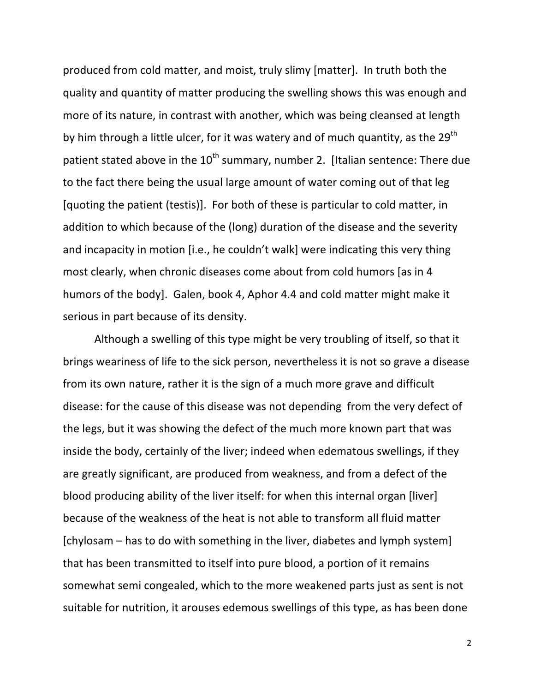produced from cold matter, and moist, truly slimy [matter]. In truth both the quality and quantity of matter producing the swelling shows this was enough and more of its nature, in contrast with another, which was being cleansed at length by him through a little ulcer, for it was watery and of much quantity, as the 29<sup>th</sup> patient stated above in the  $10^{th}$  summary, number 2. [Italian sentence: There due to the fact there being the usual large amount of water coming out of that leg [quoting the patient (testis)]. For both of these is particular to cold matter, in addition to which because of the (long) duration of the disease and the severity and incapacity in motion [i.e., he couldn't walk] were indicating this very thing most clearly, when chronic diseases come about from cold humors [as in 4 humors of the body]. Galen, book 4, Aphor 4.4 and cold matter might make it serious in part because of its density.

Although a swelling of this type might be very troubling of itself, so that it brings weariness of life to the sick person, nevertheless it is not so grave a disease from its own nature, rather it is the sign of a much more grave and difficult disease: for the cause of this disease was not depending from the very defect of the legs, but it was showing the defect of the much more known part that was inside the body, certainly of the liver; indeed when edematous swellings, if they are greatly significant, are produced from weakness, and from a defect of the blood producing ability of the liver itself: for when this internal organ [liver] because of the weakness of the heat is not able to transform all fluid matter  $[chylosam - has to do with something in the liver, diabetes and lymph system]$ that has been transmitted to itself into pure blood, a portion of it remains somewhat semi congealed, which to the more weakened parts just as sent is not suitable for nutrition, it arouses edemous swellings of this type, as has been done

2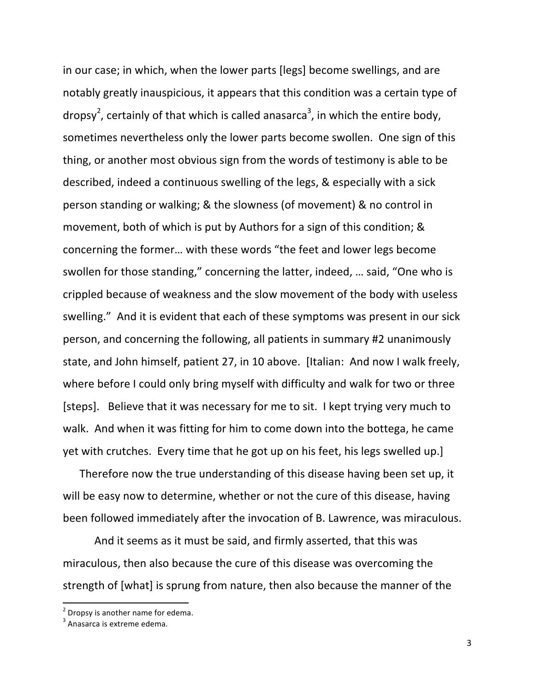in our case; in which, when the lower parts [legs] become swellings, and are notably greatly inauspicious, it appears that this condition was a certain type of dropsy<sup>2</sup>, certainly of that which is called anasarca<sup>3</sup>, in which the entire body, sometimes nevertheless only the lower parts become swollen. One sign of this thing, or another most obvious sign from the words of testimony is able to be described, indeed a continuous swelling of the legs, & especially with a sick person standing or walking; & the slowness (of movement) & no control in movement, both of which is put by Authors for a sign of this condition; & concerning the former... with these words "the feet and lower legs become swollen for those standing," concerning the latter, indeed, ... said, "One who is crippled because of weakness and the slow movement of the body with useless swelling." And it is evident that each of these symptoms was present in our sick person, and concerning the following, all patients in summary #2 unanimously state, and John himself, patient 27, in 10 above. [Italian: And now I walk freely, where before I could only bring myself with difficulty and walk for two or three [steps]. Believe that it was necessary for me to sit. I kept trying very much to walk. And when it was fitting for him to come down into the bottega, he came yet with crutches. Every time that he got up on his feet, his legs swelled up.]

Therefore now the true understanding of this disease having been set up, it will be easy now to determine, whether or not the cure of this disease, having been followed immediately after the invocation of B. Lawrence, was miraculous.

And it seems as it must be said, and firmly asserted, that this was miraculous, then also because the cure of this disease was overcoming the strength of [what] is sprung from nature, then also because the manner of the

<sup>&</sup>lt;u> 1989 - Johann Stein, markin film yn y breninn y breninn y breninn y breninn y breninn y breninn y breninn y b</u>  $2$  Dropsy is another name for edema.

 $3$  Anasarca is extreme edema.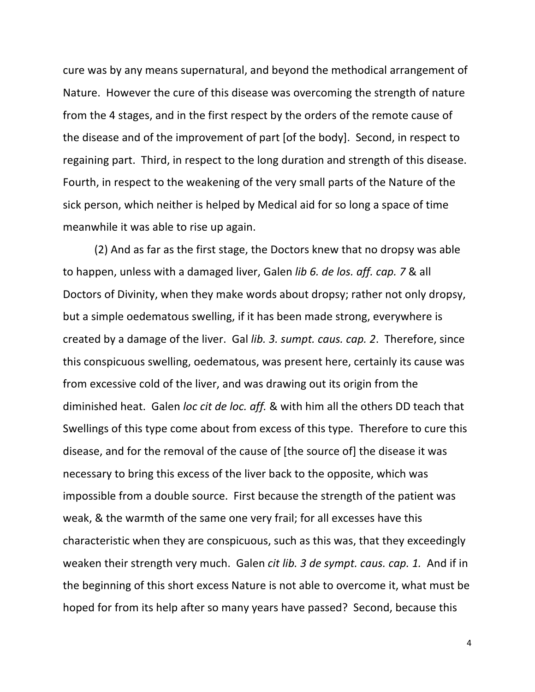cure was by any means supernatural, and beyond the methodical arrangement of Nature. However the cure of this disease was overcoming the strength of nature from the 4 stages, and in the first respect by the orders of the remote cause of the disease and of the improvement of part [of the body]. Second, in respect to regaining part. Third, in respect to the long duration and strength of this disease. Fourth, in respect to the weakening of the very small parts of the Nature of the sick person, which neither is helped by Medical aid for so long a space of time meanwhile it was able to rise up again.

(2) And as far as the first stage, the Doctors knew that no dropsy was able to happen, unless with a damaged liver, Galen *lib 6. de los. aff. cap.* 7 & all Doctors of Divinity, when they make words about dropsy; rather not only dropsy, but a simple oedematous swelling, if it has been made strong, everywhere is created by a damage of the liver. Gal *lib.* 3. sumpt. caus. cap. 2. Therefore, since this conspicuous swelling, oedematous, was present here, certainly its cause was from excessive cold of the liver, and was drawing out its origin from the diminished heat. Galen loc cit de loc. aff. & with him all the others DD teach that Swellings of this type come about from excess of this type. Therefore to cure this disease, and for the removal of the cause of [the source of] the disease it was necessary to bring this excess of the liver back to the opposite, which was impossible from a double source. First because the strength of the patient was weak, & the warmth of the same one very frail; for all excesses have this characteristic when they are conspicuous, such as this was, that they exceedingly weaken their strength very much. Galen *cit lib.* 3 de sympt. caus. cap. 1. And if in the beginning of this short excess Nature is not able to overcome it, what must be hoped for from its help after so many years have passed? Second, because this

4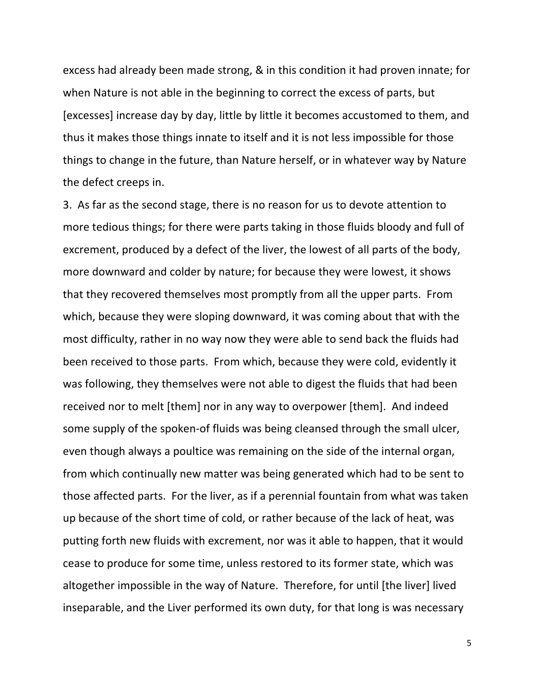excess had already been made strong, & in this condition it had proven innate; for when Nature is not able in the beginning to correct the excess of parts, but [excesses] increase day by day, little by little it becomes accustomed to them, and thus it makes those things innate to itself and it is not less impossible for those things to change in the future, than Nature herself, or in whatever way by Nature the defect creeps in.

3. As far as the second stage, there is no reason for us to devote attention to more tedious things; for there were parts taking in those fluids bloody and full of excrement, produced by a defect of the liver, the lowest of all parts of the body, more downward and colder by nature; for because they were lowest, it shows that they recovered themselves most promptly from all the upper parts. From which, because they were sloping downward, it was coming about that with the most difficulty, rather in no way now they were able to send back the fluids had been received to those parts. From which, because they were cold, evidently it was following, they themselves were not able to digest the fluids that had been received nor to melt [them] nor in any way to overpower [them]. And indeed some supply of the spoken-of fluids was being cleansed through the small ulcer, even though always a poultice was remaining on the side of the internal organ, from which continually new matter was being generated which had to be sent to those affected parts. For the liver, as if a perennial fountain from what was taken up because of the short time of cold, or rather because of the lack of heat, was putting forth new fluids with excrement, nor was it able to happen, that it would cease to produce for some time, unless restored to its former state, which was altogether impossible in the way of Nature. Therefore, for until [the liver] lived inseparable, and the Liver performed its own duty, for that long is was necessary

5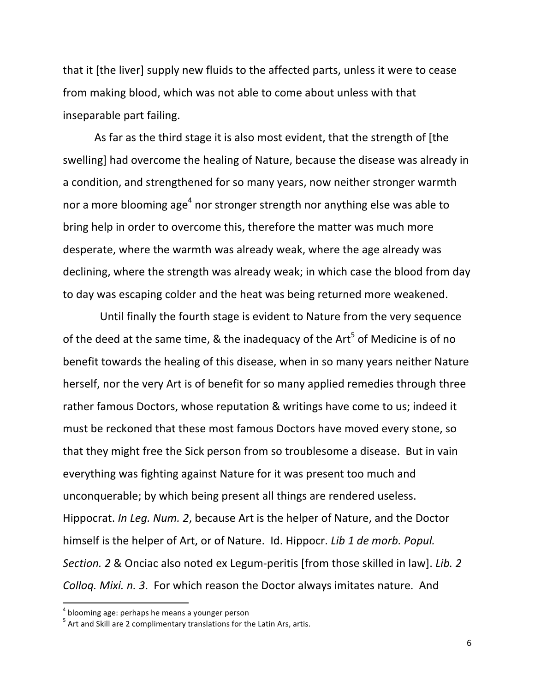that it [the liver] supply new fluids to the affected parts, unless it were to cease from making blood, which was not able to come about unless with that inseparable part failing.

As far as the third stage it is also most evident, that the strength of [the swelling] had overcome the healing of Nature, because the disease was already in a condition, and strengthened for so many years, now neither stronger warmth nor a more blooming age<sup>4</sup> nor stronger strength nor anything else was able to bring help in order to overcome this, therefore the matter was much more desperate, where the warmth was already weak, where the age already was declining, where the strength was already weak; in which case the blood from day to day was escaping colder and the heat was being returned more weakened.

Until finally the fourth stage is evident to Nature from the very sequence of the deed at the same time, & the inadequacy of the Art<sup>5</sup> of Medicine is of no benefit towards the healing of this disease, when in so many years neither Nature herself, nor the very Art is of benefit for so many applied remedies through three rather famous Doctors, whose reputation & writings have come to us; indeed it must be reckoned that these most famous Doctors have moved every stone, so that they might free the Sick person from so troublesome a disease. But in vain everything was fighting against Nature for it was present too much and unconquerable; by which being present all things are rendered useless. Hippocrat. *In Leg. Num.* 2, because Art is the helper of Nature, and the Doctor himself is the helper of Art, or of Nature. Id. Hippocr. *Lib 1 de morb. Popul. Section.* 2 & Onciac also noted ex Legum-peritis [from those skilled in law]. *Lib.* 2 *Colloq. Mixi. n. 3.* For which reason the Doctor always imitates nature. And

<u> 1989 - Johann Stein, markin film yn y breninn y breninn y breninn y breninn y breninn y breninn y breninn y b</u>

<sup>&</sup>lt;sup>4</sup> blooming age: perhaps he means a younger person<br><sup>5</sup> Art and Skill are 2 complimentary translations for the Latin Ars, artis.